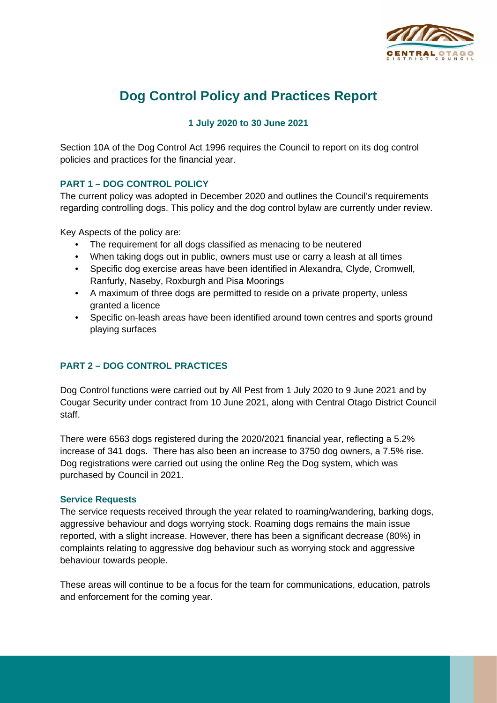

# **Dog Control Policy and Practices Report**

# **1 July 2020 to 30 June 2021**

Section 10A of the Dog Control Act 1996 requires the Council to report on its dog control policies and practices for the financial year.

# **PART 1 – DOG CONTROL POLICY**

The current policy was adopted in December 2020 and outlines the Council's requirements regarding controlling dogs. This policy and the dog control bylaw are currently under review.

Key Aspects of the policy are:

- The requirement for all dogs classified as menacing to be neutered
- When taking dogs out in public, owners must use or carry a leash at all times
- Specific dog exercise areas have been identified in Alexandra, Clyde, Cromwell, Ranfurly, Naseby, Roxburgh and Pisa Moorings
- A maximum of three dogs are permitted to reside on a private property, unless granted a licence
- Specific on-leash areas have been identified around town centres and sports ground playing surfaces

# **PART 2 – DOG CONTROL PRACTICES**

Dog Control functions were carried out by All Pest from 1 July 2020 to 9 June 2021 and by Cougar Security under contract from 10 June 2021, along with Central Otago District Council staff.

There were 6563 dogs registered during the 2020/2021 financial year, reflecting a 5.2% increase of 341 dogs. There has also been an increase to 3750 dog owners, a 7.5% rise. Dog registrations were carried out using the online Reg the Dog system, which was purchased by Council in 2021.

# **Service Requests**

The service requests received through the year related to roaming/wandering, barking dogs, aggressive behaviour and dogs worrying stock. Roaming dogs remains the main issue reported, with a slight increase. However, there has been a significant decrease (80%) in complaints relating to aggressive dog behaviour such as worrying stock and aggressive behaviour towards people.

These areas will continue to be a focus for the team for communications, education, patrols and enforcement for the coming year.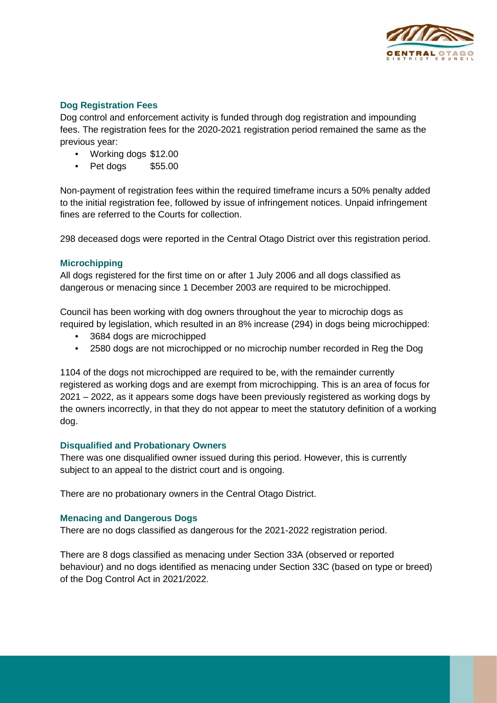

### **Dog Registration Fees**

Dog control and enforcement activity is funded through dog registration and impounding fees. The registration fees for the 2020-2021 registration period remained the same as the previous year:

- Working dogs \$12.00
- Pet dogs \$55.00

Non-payment of registration fees within the required timeframe incurs a 50% penalty added to the initial registration fee, followed by issue of infringement notices. Unpaid infringement fines are referred to the Courts for collection.

298 deceased dogs were reported in the Central Otago District over this registration period.

#### **Microchipping**

All dogs registered for the first time on or after 1 July 2006 and all dogs classified as dangerous or menacing since 1 December 2003 are required to be microchipped.

Council has been working with dog owners throughout the year to microchip dogs as required by legislation, which resulted in an 8% increase (294) in dogs being microchipped:

- 3684 dogs are microchipped
- 2580 dogs are not microchipped or no microchip number recorded in Reg the Dog

1104 of the dogs not microchipped are required to be, with the remainder currently registered as working dogs and are exempt from microchipping. This is an area of focus for 2021 – 2022, as it appears some dogs have been previously registered as working dogs by the owners incorrectly, in that they do not appear to meet the statutory definition of a working dog.

#### **Disqualified and Probationary Owners**

There was one disqualified owner issued during this period. However, this is currently subject to an appeal to the district court and is ongoing.

There are no probationary owners in the Central Otago District.

#### **Menacing and Dangerous Dogs**

There are no dogs classified as dangerous for the 2021-2022 registration period.

There are 8 dogs classified as menacing under Section 33A (observed or reported behaviour) and no dogs identified as menacing under Section 33C (based on type or breed) of the Dog Control Act in 2021/2022.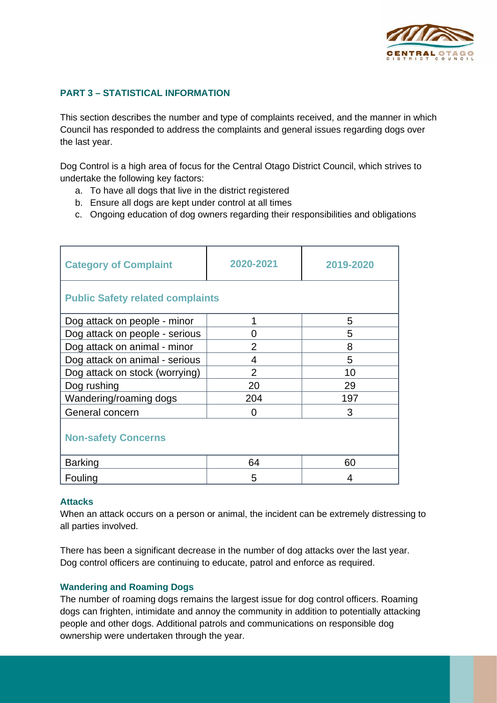

## **PART 3 – STATISTICAL INFORMATION**

This section describes the number and type of complaints received, and the manner in which Council has responded to address the complaints and general issues regarding dogs over the last year.

Dog Control is a high area of focus for the Central Otago District Council, which strives to undertake the following key factors:

- a. To have all dogs that live in the district registered
- b. Ensure all dogs are kept under control at all times
- c. Ongoing education of dog owners regarding their responsibilities and obligations

| <b>Category of Complaint</b>            | 2020-2021      | 2019-2020 |  |
|-----------------------------------------|----------------|-----------|--|
| <b>Public Safety related complaints</b> |                |           |  |
| Dog attack on people - minor            | 1              | 5         |  |
| Dog attack on people - serious          | 0              | 5         |  |
| Dog attack on animal - minor            | $\overline{2}$ | 8         |  |
| Dog attack on animal - serious          | 4              | 5         |  |
| Dog attack on stock (worrying)          | $\overline{2}$ | 10        |  |
| Dog rushing                             | 20             | 29        |  |
| Wandering/roaming dogs                  | 204            | 197       |  |
| General concern                         | 0              | 3         |  |
| <b>Non-safety Concerns</b>              |                |           |  |
| <b>Barking</b>                          | 64             | 60        |  |
| Fouling                                 | 5              | 4         |  |

#### **Attacks**

When an attack occurs on a person or animal, the incident can be extremely distressing to all parties involved.

There has been a significant decrease in the number of dog attacks over the last year. Dog control officers are continuing to educate, patrol and enforce as required.

#### **Wandering and Roaming Dogs**

The number of roaming dogs remains the largest issue for dog control officers. Roaming dogs can frighten, intimidate and annoy the community in addition to potentially attacking people and other dogs. Additional patrols and communications on responsible dog ownership were undertaken through the year.